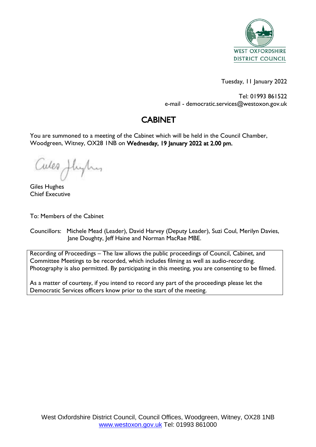

Tuesday, 11 January 2022

Tel: 01993 861522 e-mail - democratic.services@westoxon.gov.uk

# CABINET

You are summoned to a meeting of the Cabinet which will be held in the Council Chamber, Woodgreen, Witney, OX28 1NB on Wednesday, 19 January 2022 at 2.00 pm.

Cules Jhylus

Giles Hughes Chief Executive

To: Members of the Cabinet

Councillors: Michele Mead (Leader), David Harvey (Deputy Leader), Suzi Coul, Merilyn Davies, Jane Doughty, Jeff Haine and Norman MacRae MBE.

Recording of Proceedings – The law allows the public proceedings of Council, Cabinet, and Committee Meetings to be recorded, which includes filming as well as audio-recording. Photography is also permitted. By participating in this meeting, you are consenting to be filmed.

As a matter of courtesy, if you intend to record any part of the proceedings please let the Democratic Services officers know prior to the start of the meeting.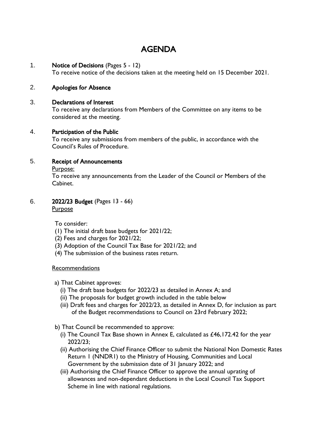# AGENDA

#### 1. Notice of Decisions (Pages 5 - 12)

To receive notice of the decisions taken at the meeting held on 15 December 2021.

### 2. Apologies for Absence

#### 3. Declarations of Interest

To receive any declarations from Members of the Committee on any items to be considered at the meeting.

#### 4. Participation of the Public

To receive any submissions from members of the public, in accordance with the Council's Rules of Procedure.

#### 5. Receipt of Announcements

Purpose:

To receive any announcements from the Leader of the Council or Members of the Cabinet.

#### 6. 2022/23 Budget (Pages 13 - 66)

**Purpose** 

To consider:

- (1) The initial draft base budgets for 2021/22;
- (2) Fees and charges for 2021/22;
- (3) Adoption of the Council Tax Base for 2021/22; and
- (4) The submission of the business rates return.

#### Recommendations

- a) That Cabinet approves:
	- (i) The draft base budgets for 2022/23 as detailed in Annex A; and
	- (ii) The proposals for budget growth included in the table below
	- (iii) Draft fees and charges for 2022/23, as detailed in Annex D, for inclusion as part of the Budget recommendations to Council on 23rd February 2022;
- b) That Council be recommended to approve:
	- (i) The Council Tax Base shown in Annex E, calculated as £46,172.42 for the year 2022/23;
	- (ii) Authorising the Chief Finance Officer to submit the National Non Domestic Rates Return 1 (NNDR1) to the Ministry of Housing, Communities and Local Government by the submission date of 31 January 2022; and
	- (iii) Authorising the Chief Finance Officer to approve the annual uprating of allowances and non-dependant deductions in the Local Council Tax Support Scheme in line with national regulations.